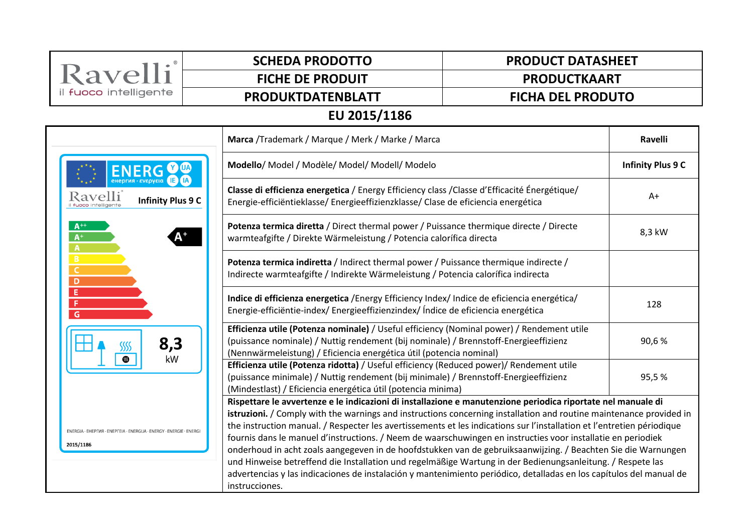| Ravelli                                                                          | <b>SCHEDA PRODOTTO</b>                                                                                                                                                                                                                                                                                                                                                                                                                                                                                                                                                                                                                                                                                                                                                                                                                                | <b>PRODUCT DATASHEET</b> |                          |  |  |
|----------------------------------------------------------------------------------|-------------------------------------------------------------------------------------------------------------------------------------------------------------------------------------------------------------------------------------------------------------------------------------------------------------------------------------------------------------------------------------------------------------------------------------------------------------------------------------------------------------------------------------------------------------------------------------------------------------------------------------------------------------------------------------------------------------------------------------------------------------------------------------------------------------------------------------------------------|--------------------------|--------------------------|--|--|
|                                                                                  | <b>FICHE DE PRODUIT</b>                                                                                                                                                                                                                                                                                                                                                                                                                                                                                                                                                                                                                                                                                                                                                                                                                               | <b>PRODUCTKAART</b>      |                          |  |  |
| il fuoco intelligente                                                            | PRODUKTDATENBLATT                                                                                                                                                                                                                                                                                                                                                                                                                                                                                                                                                                                                                                                                                                                                                                                                                                     | <b>FICHA DEL PRODUTO</b> |                          |  |  |
| EU 2015/1186                                                                     |                                                                                                                                                                                                                                                                                                                                                                                                                                                                                                                                                                                                                                                                                                                                                                                                                                                       |                          |                          |  |  |
|                                                                                  | Marca /Trademark / Marque / Merk / Marke / Marca                                                                                                                                                                                                                                                                                                                                                                                                                                                                                                                                                                                                                                                                                                                                                                                                      |                          | <b>Ravelli</b>           |  |  |
| Ravelli<br><b>Infinity Plus 9 C</b>                                              | Modello/ Model / Modèle/ Model/ Modell/ Modelo                                                                                                                                                                                                                                                                                                                                                                                                                                                                                                                                                                                                                                                                                                                                                                                                        |                          | <b>Infinity Plus 9 C</b> |  |  |
|                                                                                  | Classe di efficienza energetica / Energy Efficiency class / Classe d'Efficacité Énergétique/<br>Energie-efficiëntieklasse/ Energieeffizienzklasse/ Clase de eficiencia energética                                                                                                                                                                                                                                                                                                                                                                                                                                                                                                                                                                                                                                                                     |                          | $A+$                     |  |  |
| $A^{++}$<br>$A^+$<br>$\overline{A}$                                              | Potenza termica diretta / Direct thermal power / Puissance thermique directe / Directe<br>warmteafgifte / Direkte Wärmeleistung / Potencia calorífica directa                                                                                                                                                                                                                                                                                                                                                                                                                                                                                                                                                                                                                                                                                         |                          | 8,3 kW                   |  |  |
| B<br>C<br>D<br>Ε<br>F<br>G<br>8,3<br>kW                                          | Potenza termica indiretta / Indirect thermal power / Puissance thermique indirecte /<br>Indirecte warmteafgifte / Indirekte Wärmeleistung / Potencia calorífica indirecta                                                                                                                                                                                                                                                                                                                                                                                                                                                                                                                                                                                                                                                                             |                          |                          |  |  |
|                                                                                  | Indice di efficienza energetica / Energy Efficiency Index/ Indice de eficiencia energética/<br>Energie-efficiëntie-index/Energieeffizienzindex/ Índice de eficiencia energética                                                                                                                                                                                                                                                                                                                                                                                                                                                                                                                                                                                                                                                                       |                          | 128                      |  |  |
|                                                                                  | Efficienza utile (Potenza nominale) / Useful efficiency (Nominal power) / Rendement utile<br>(puissance nominale) / Nuttig rendement (bij nominale) / Brennstoff-Energieeffizienz<br>(Nennwärmeleistung) / Eficiencia energética útil (potencia nominal)                                                                                                                                                                                                                                                                                                                                                                                                                                                                                                                                                                                              |                          | 90,6%                    |  |  |
|                                                                                  | Efficienza utile (Potenza ridotta) / Useful efficiency (Reduced power)/ Rendement utile<br>(puissance minimale) / Nuttig rendement (bij minimale) / Brennstoff-Energieeffizienz<br>(Mindestlast) / Eficiencia energética útil (potencia minima)                                                                                                                                                                                                                                                                                                                                                                                                                                                                                                                                                                                                       |                          | 95,5%                    |  |  |
| ENERGIA · EHEPFIAR · ENEPFEIA · ENERGIJA · ENERGY · ENERGIE · ENERG<br>2015/1186 | Rispettare le avvertenze e le indicazioni di installazione e manutenzione periodica riportate nel manuale di<br>istruzioni. / Comply with the warnings and instructions concerning installation and routine maintenance provided in<br>the instruction manual. / Respecter les avertissements et les indications sur l'installation et l'entretien périodique<br>fournis dans le manuel d'instructions. / Neem de waarschuwingen en instructies voor installatie en periodiek<br>onderhoud in acht zoals aangegeven in de hoofdstukken van de gebruiksaanwijzing. / Beachten Sie die Warnungen<br>und Hinweise betreffend die Installation und regelmäßige Wartung in der Bedienungsanleitung. / Respete las<br>advertencias y las indicaciones de instalación y mantenimiento periódico, detalladas en los capítulos del manual de<br>instrucciones. |                          |                          |  |  |